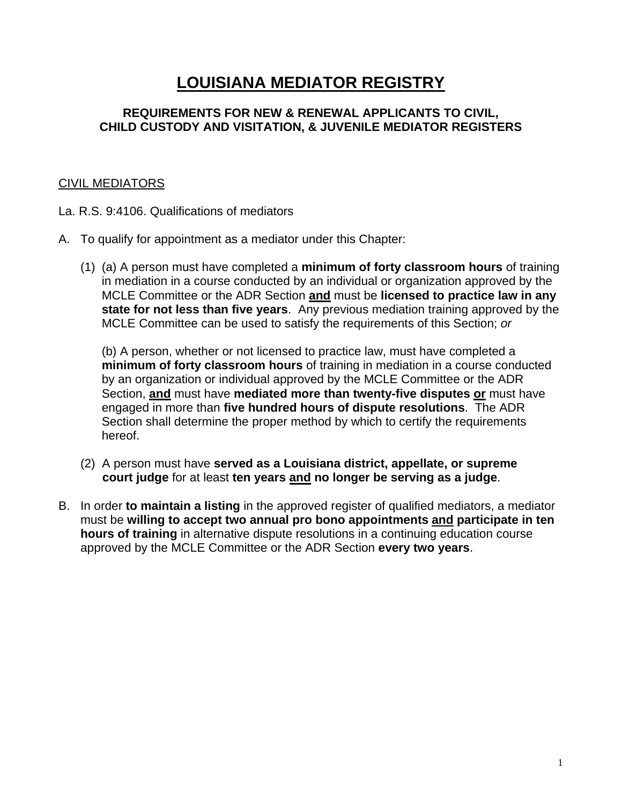# **LOUISIANA MEDIATOR REGISTRY**

#### **REQUIREMENTS FOR NEW & RENEWAL APPLICANTS TO CIVIL, CHILD CUSTODY AND VISITATION, & JUVENILE MEDIATOR REGISTERS**

## CIVIL MEDIATORS

- La. R.S. 9:4106. Qualifications of mediators
- A. To qualify for appointment as a mediator under this Chapter:
	- (1) (a) A person must have completed a **minimum of forty classroom hours** of training in mediation in a course conducted by an individual or organization approved by the MCLE Committee or the ADR Section **and** must be **licensed to practice law in any state for not less than five years**. Any previous mediation training approved by the MCLE Committee can be used to satisfy the requirements of this Section; *or*

(b) A person, whether or not licensed to practice law, must have completed a **minimum of forty classroom hours** of training in mediation in a course conducted by an organization or individual approved by the MCLE Committee or the ADR Section, **and** must have **mediated more than twenty-five disputes or** must have engaged in more than **five hundred hours of dispute resolutions**. The ADR Section shall determine the proper method by which to certify the requirements hereof.

- (2) A person must have **served as a Louisiana district, appellate, or supreme court judge** for at least **ten years and no longer be serving as a judge**.
- B. In order **to maintain a listing** in the approved register of qualified mediators, a mediator must be **willing to accept two annual pro bono appointments and participate in ten hours of training** in alternative dispute resolutions in a continuing education course approved by the MCLE Committee or the ADR Section **every two years**.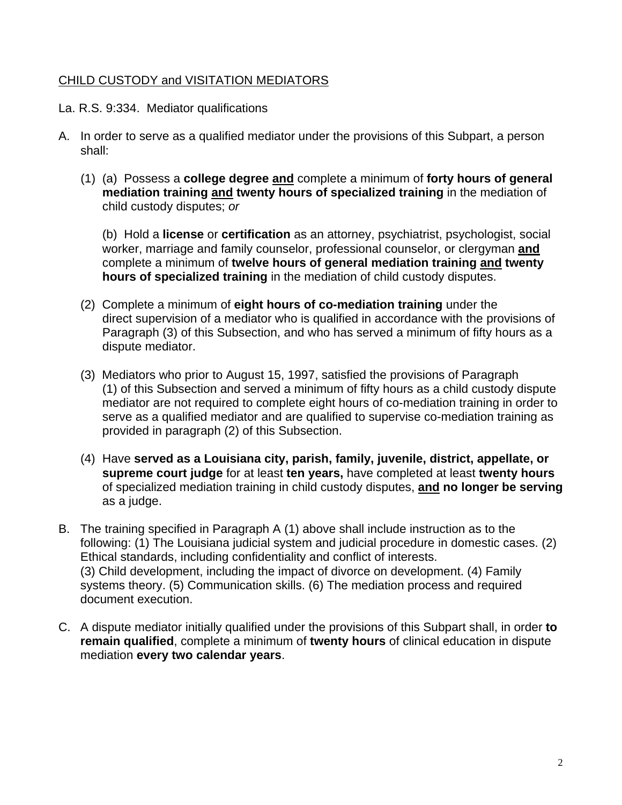## CHILD CUSTODY and VISITATION MEDIATORS

La. R.S. 9:334. Mediator qualifications

- A. In order to serve as a qualified mediator under the provisions of this Subpart, a person shall:
	- (1) (a) Possess a **college degree and** complete a minimum of **forty hours of general mediation training and twenty hours of specialized training** in the mediation of child custody disputes; *or*

(b) Hold a **license** or **certification** as an attorney, psychiatrist, psychologist, social worker, marriage and family counselor, professional counselor, or clergyman **and**  complete a minimum of **twelve hours of general mediation training and twenty hours of specialized training** in the mediation of child custody disputes.

- (2) Complete a minimum of **eight hours of co-mediation training** under the direct supervision of a mediator who is qualified in accordance with the provisions of Paragraph (3) of this Subsection, and who has served a minimum of fifty hours as a dispute mediator.
- (3) Mediators who prior to August 15, 1997, satisfied the provisions of Paragraph (1) of this Subsection and served a minimum of fifty hours as a child custody dispute mediator are not required to complete eight hours of co-mediation training in order to serve as a qualified mediator and are qualified to supervise co-mediation training as provided in paragraph (2) of this Subsection.
- (4) Have **served as a Louisiana city, parish, family, juvenile, district, appellate, or supreme court judge** for at least **ten years,** have completed at least **twenty hours**  of specialized mediation training in child custody disputes, **and no longer be serving** as a judge.
- B. The training specified in Paragraph A (1) above shall include instruction as to the following: (1) The Louisiana judicial system and judicial procedure in domestic cases. (2) Ethical standards, including confidentiality and conflict of interests. (3) Child development, including the impact of divorce on development. (4) Family systems theory. (5) Communication skills. (6) The mediation process and required document execution.
- C. A dispute mediator initially qualified under the provisions of this Subpart shall, in order **to remain qualified**, complete a minimum of **twenty hours** of clinical education in dispute mediation **every two calendar years**.